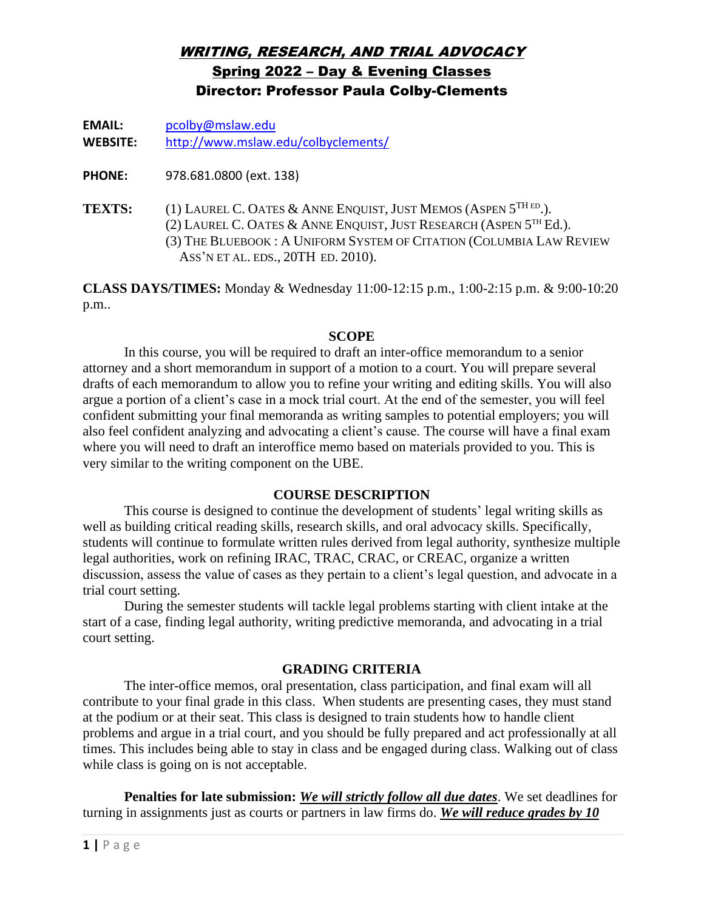**EMAIL:** [pcolby@mslaw.edu](mailto:pcolby@mslaw.edu) **WEBSITE:** <http://www.mslaw.edu/colbyclements/>

**PHONE:** 978.681.0800 (ext. 138)

**TEXTS:** (1) LAUREL C. OATES & ANNE ENQUIST, JUST MEMOS (ASPEN 5<sup>TH ED</sup>.). (2) LAUREL C. OATES & ANNE ENQUIST, JUST RESEARCH (ASPEN  $5^{\text{th}}$  Ed.). (3) THE BLUEBOOK : A UNIFORM SYSTEM OF CITATION (COLUMBIA LAW REVIEW ASS'N ET AL. EDS., 20TH ED. 2010).

**CLASS DAYS/TIMES:** Monday & Wednesday 11:00-12:15 p.m., 1:00-2:15 p.m. & 9:00-10:20 p.m..

#### **SCOPE**

In this course, you will be required to draft an inter-office memorandum to a senior attorney and a short memorandum in support of a motion to a court. You will prepare several drafts of each memorandum to allow you to refine your writing and editing skills. You will also argue a portion of a client's case in a mock trial court. At the end of the semester, you will feel confident submitting your final memoranda as writing samples to potential employers; you will also feel confident analyzing and advocating a client's cause. The course will have a final exam where you will need to draft an interoffice memo based on materials provided to you. This is very similar to the writing component on the UBE.

### **COURSE DESCRIPTION**

This course is designed to continue the development of students' legal writing skills as well as building critical reading skills, research skills, and oral advocacy skills. Specifically, students will continue to formulate written rules derived from legal authority, synthesize multiple legal authorities, work on refining IRAC, TRAC, CRAC, or CREAC, organize a written discussion, assess the value of cases as they pertain to a client's legal question, and advocate in a trial court setting.

During the semester students will tackle legal problems starting with client intake at the start of a case, finding legal authority, writing predictive memoranda, and advocating in a trial court setting.

### **GRADING CRITERIA**

The inter-office memos, oral presentation, class participation, and final exam will all contribute to your final grade in this class. When students are presenting cases, they must stand at the podium or at their seat. This class is designed to train students how to handle client problems and argue in a trial court, and you should be fully prepared and act professionally at all times. This includes being able to stay in class and be engaged during class. Walking out of class while class is going on is not acceptable.

**Penalties for late submission:** *We will strictly follow all due dates*. We set deadlines for turning in assignments just as courts or partners in law firms do. *We will reduce grades by 10*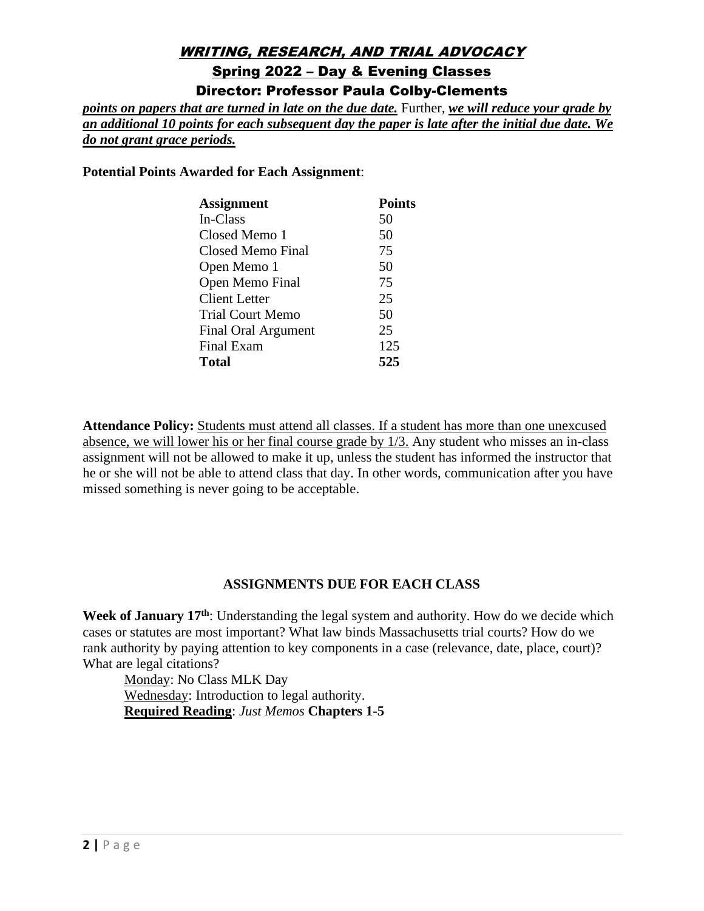# WRITING, RESEARCH, AND TRIAL ADVOCACY Spring 2022 – Day & Evening Classes

Director: Professor Paula Colby-Clements

*points on papers that are turned in late on the due date.* Further, *we will reduce your grade by an additional 10 points for each subsequent day the paper is late after the initial due date. We do not grant grace periods.* 

**Potential Points Awarded for Each Assignment**:

| <b>Assignment</b>    | <b>Points</b> |
|----------------------|---------------|
| In-Class             | 50            |
| Closed Memo 1        | 50            |
| Closed Memo Final    | 75            |
| Open Memo 1          | 50            |
| Open Memo Final      | 75            |
| <b>Client Letter</b> | 25            |
| Trial Court Memo     | 50            |
| Final Oral Argument  | 25            |
| Final Exam           | 125           |
| <b>Total</b>         | 525           |

**Attendance Policy:** Students must attend all classes. If a student has more than one unexcused absence, we will lower his or her final course grade by 1/3. Any student who misses an in-class assignment will not be allowed to make it up, unless the student has informed the instructor that he or she will not be able to attend class that day. In other words, communication after you have missed something is never going to be acceptable.

### **ASSIGNMENTS DUE FOR EACH CLASS**

**Week of January 17th**: Understanding the legal system and authority. How do we decide which cases or statutes are most important? What law binds Massachusetts trial courts? How do we rank authority by paying attention to key components in a case (relevance, date, place, court)? What are legal citations?

Monday: No Class MLK Day Wednesday: Introduction to legal authority. **Required Reading**: *Just Memos* **Chapters 1-5**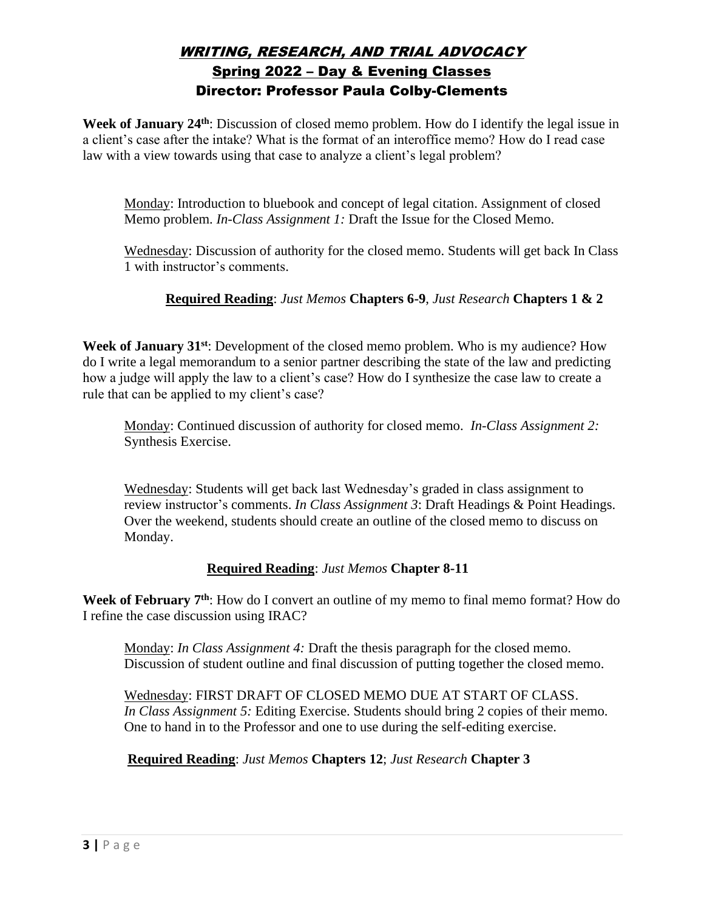Week of January 24<sup>th</sup>: Discussion of closed memo problem. How do I identify the legal issue in a client's case after the intake? What is the format of an interoffice memo? How do I read case law with a view towards using that case to analyze a client's legal problem?

Monday: Introduction to bluebook and concept of legal citation. Assignment of closed Memo problem. *In-Class Assignment 1:* Draft the Issue for the Closed Memo.

Wednesday: Discussion of authority for the closed memo. Students will get back In Class 1 with instructor's comments.

## **Required Reading**: *Just Memos* **Chapters 6-9**, *Just Research* **Chapters 1 & 2**

**Week of January 31st**: Development of the closed memo problem. Who is my audience? How do I write a legal memorandum to a senior partner describing the state of the law and predicting how a judge will apply the law to a client's case? How do I synthesize the case law to create a rule that can be applied to my client's case?

Monday: Continued discussion of authority for closed memo. *In-Class Assignment 2:*  Synthesis Exercise.

Wednesday: Students will get back last Wednesday's graded in class assignment to review instructor's comments. *In Class Assignment 3*: Draft Headings & Point Headings. Over the weekend, students should create an outline of the closed memo to discuss on Monday.

### **Required Reading**: *Just Memos* **Chapter 8-11**

Week of February 7<sup>th</sup>: How do I convert an outline of my memo to final memo format? How do I refine the case discussion using IRAC?

Monday: *In Class Assignment 4:* Draft the thesis paragraph for the closed memo. Discussion of student outline and final discussion of putting together the closed memo.

Wednesday: FIRST DRAFT OF CLOSED MEMO DUE AT START OF CLASS. *In Class Assignment 5:* Editing Exercise. Students should bring 2 copies of their memo. One to hand in to the Professor and one to use during the self-editing exercise.

# **Required Reading**: *Just Memos* **Chapters 12**; *Just Research* **Chapter 3**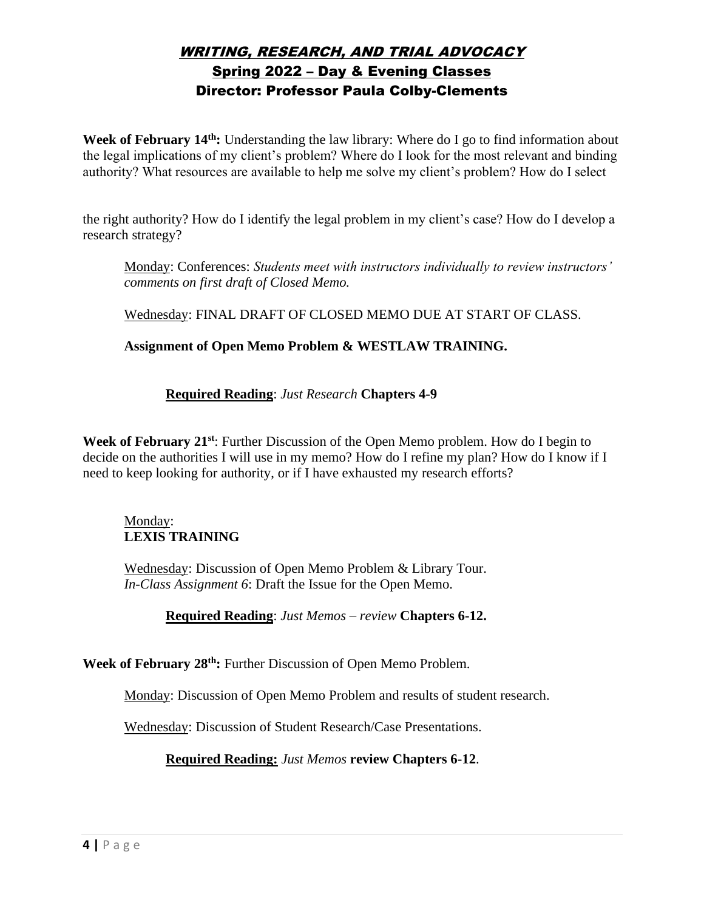Week of February 14<sup>th</sup>: Understanding the law library: Where do I go to find information about the legal implications of my client's problem? Where do I look for the most relevant and binding authority? What resources are available to help me solve my client's problem? How do I select

the right authority? How do I identify the legal problem in my client's case? How do I develop a research strategy?

Monday: Conferences: *Students meet with instructors individually to review instructors' comments on first draft of Closed Memo.*

Wednesday: FINAL DRAFT OF CLOSED MEMO DUE AT START OF CLASS.

## **Assignment of Open Memo Problem & WESTLAW TRAINING.**

## **Required Reading**: *Just Research* **Chapters 4-9**

Week of February 21<sup>st</sup>: Further Discussion of the Open Memo problem. How do I begin to decide on the authorities I will use in my memo? How do I refine my plan? How do I know if I need to keep looking for authority, or if I have exhausted my research efforts?

#### Monday:  **LEXIS TRAINING**

Wednesday: Discussion of Open Memo Problem & Library Tour. *In-Class Assignment 6*: Draft the Issue for the Open Memo.

**Required Reading**: *Just Memos – review* **Chapters 6-12.**

**Week of February 28th:** Further Discussion of Open Memo Problem.

Monday: Discussion of Open Memo Problem and results of student research.

Wednesday: Discussion of Student Research/Case Presentations.

# **Required Reading:** *Just Memos* **review Chapters 6-12**.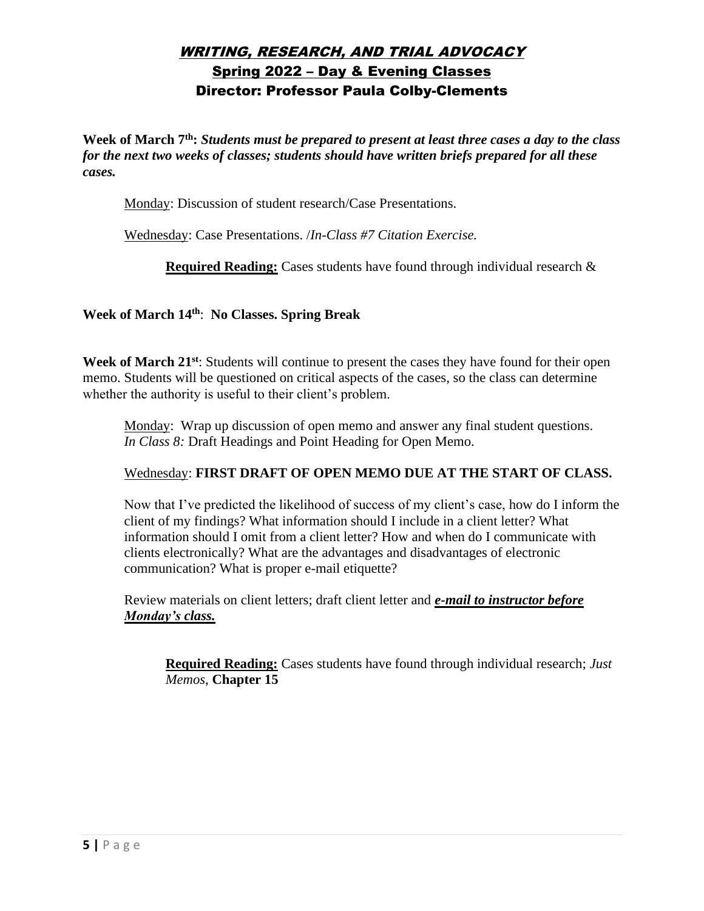Week of March 7<sup>th</sup>: *Students must be prepared to present at least three cases a day to the class for the next two weeks of classes; students should have written briefs prepared for all these cases.* 

Monday: Discussion of student research/Case Presentations.

Wednesday: Case Presentations. /*In-Class #7 Citation Exercise.*

**Required Reading:** Cases students have found through individual research &

#### **Week of March 14 th**: **No Classes. Spring Break**

**Week of March 21st**: Students will continue to present the cases they have found for their open memo. Students will be questioned on critical aspects of the cases, so the class can determine whether the authority is useful to their client's problem.

Monday: Wrap up discussion of open memo and answer any final student questions. *In Class 8:* Draft Headings and Point Heading for Open Memo.

## Wednesday: **FIRST DRAFT OF OPEN MEMO DUE AT THE START OF CLASS.**

Now that I've predicted the likelihood of success of my client's case, how do I inform the client of my findings? What information should I include in a client letter? What information should I omit from a client letter? How and when do I communicate with clients electronically? What are the advantages and disadvantages of electronic communication? What is proper e-mail etiquette?

Review materials on client letters; draft client letter and *e-mail to instructor before Monday's class.* 

**Required Reading:** Cases students have found through individual research; *Just Memos*, **Chapter 15**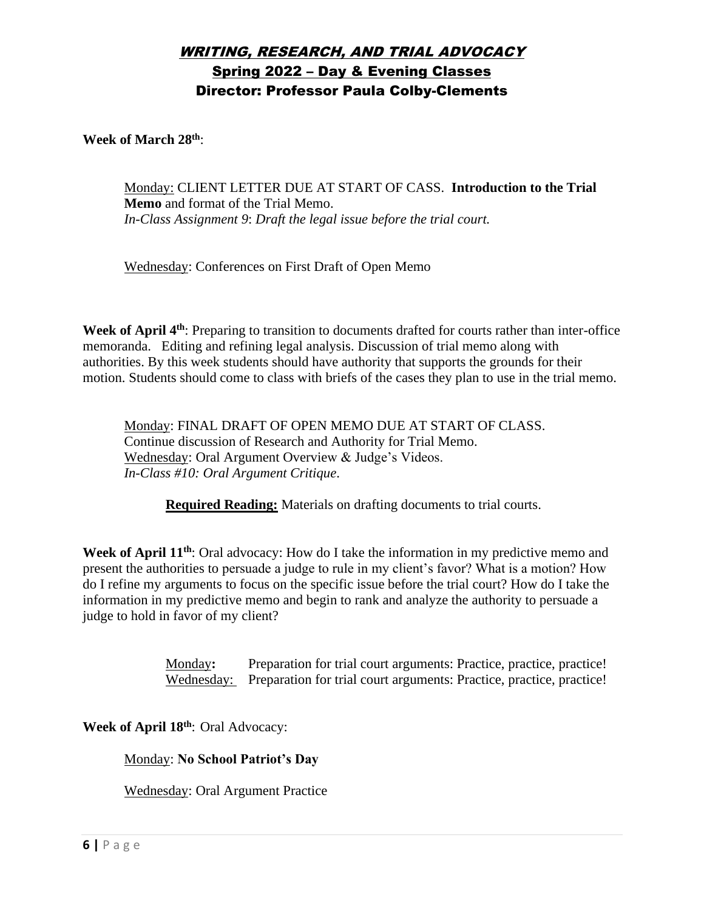**Week of March 28th**:

Monday: CLIENT LETTER DUE AT START OF CASS. **Introduction to the Trial Memo** and format of the Trial Memo. *In-Class Assignment 9*: *Draft the legal issue before the trial court.*

Wednesday: Conferences on First Draft of Open Memo

Week of April 4<sup>th</sup>: Preparing to transition to documents drafted for courts rather than inter-office memoranda. Editing and refining legal analysis. Discussion of trial memo along with authorities. By this week students should have authority that supports the grounds for their motion. Students should come to class with briefs of the cases they plan to use in the trial memo.

Monday: FINAL DRAFT OF OPEN MEMO DUE AT START OF CLASS. Continue discussion of Research and Authority for Trial Memo. Wednesday: Oral Argument Overview & Judge's Videos. *In-Class #10: Oral Argument Critique*.

**Required Reading:** Materials on drafting documents to trial courts.

Week of April 11<sup>th</sup>: Oral advocacy: How do I take the information in my predictive memo and present the authorities to persuade a judge to rule in my client's favor? What is a motion? How do I refine my arguments to focus on the specific issue before the trial court? How do I take the information in my predictive memo and begin to rank and analyze the authority to persuade a judge to hold in favor of my client?

> Monday**:** Preparation for trial court arguments: Practice, practice, practice! Wednesday: Preparation for trial court arguments: Practice, practice, practice!

**Week of April 18th**: Oral Advocacy:

Monday: **No School Patriot's Day**

Wednesday: Oral Argument Practice